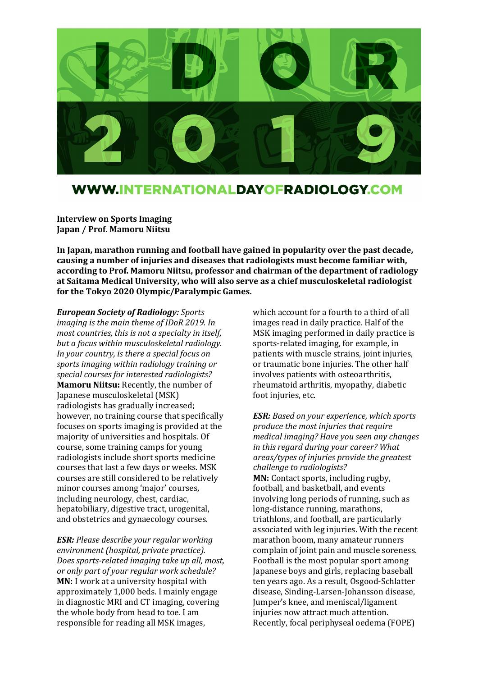

## WWW.INTERNATIONALDAYOFRADIOLOGY.COM

**Interview on Sports Imaging Japan / Prof. Mamoru Niitsu**

**In Japan, marathon running and football have gained in popularity over the past decade, causing a number of injuries and diseases that radiologists must become familiar with, according to Prof. Mamoru Niitsu, professor and chairman of the department of radiology at Saitama Medical University, who will also serve as a chief musculoskeletal radiologist for the Tokyo 2020 Olympic/Paralympic Games.**

*European Society of Radiology: Sports imaging is the main theme of IDoR 2019. In most countries, this is not a specialty in itself, but a focus within musculoskeletal radiology. In your country, is there a special focus on sports imaging within radiology training or special courses for interested radiologists?* **Mamoru Niitsu:** Recently, the number of Japanese musculoskeletal (MSK) radiologists has gradually increased; however, no training course that specifically focuses on sports imaging is provided at the majority of universities and hospitals. Of course, some training camps for young radiologists include short sports medicine courses that last a few days or weeks. MSK courses are still considered to be relatively minor courses among 'major' courses, including neurology, chest, cardiac, hepatobiliary, digestive tract, urogenital, and obstetrics and gynaecology courses.

*ESR: Please describe your regular working environment (hospital, private practice). Does sports-related imaging take up all, most, or only part of your regular work schedule?* **MN:** I work at a university hospital with approximately 1,000 beds. I mainly engage in diagnostic MRI and CT imaging, covering the whole body from head to toe. I am responsible for reading all MSK images,

which account for a fourth to a third of all images read in daily practice. Half of the MSK imaging performed in daily practice is sports-related imaging, for example, in patients with muscle strains, joint injuries, or traumatic bone injuries. The other half involves patients with osteoarthritis, rheumatoid arthritis, myopathy, diabetic foot injuries, etc.

*ESR: Based on your experience, which sports produce the most injuries that require medical imaging? Have you seen any changes in this regard during your career? What areas/types of injuries provide the greatest challenge to radiologists?* **MN:** Contact sports, including rugby, football, and basketball, and events involving long periods of running, such as long-distance running, marathons, triathlons, and football, are particularly associated with leg injuries. With the recent marathon boom, many amateur runners complain of joint pain and muscle soreness. Football is the most popular sport among Japanese boys and girls, replacing baseball ten years ago. As a result, Osgood-Schlatter disease, Sinding-Larsen-Johansson disease, Jumper's knee, and meniscal/ligament injuries now attract much attention. Recently, focal periphyseal oedema (FOPE)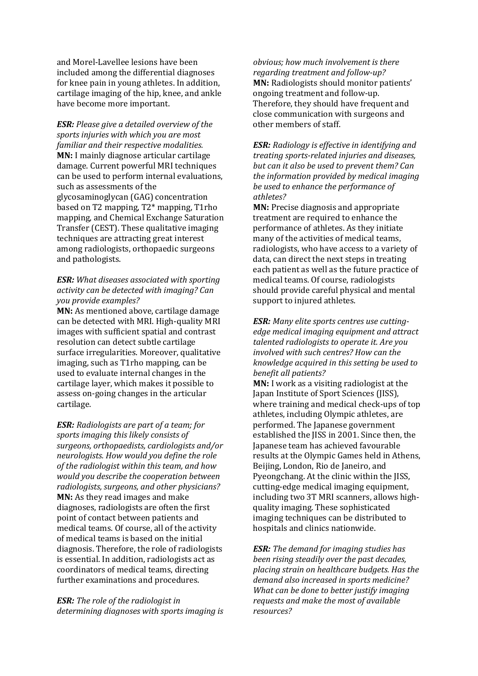and Morel-Lavellee lesions have been included among the differential diagnoses for knee pain in young athletes. In addition, cartilage imaging of the hip, knee, and ankle have become more important.

*ESR: Please give a detailed overview of the sports injuries with which you are most familiar and their respective modalities.* **MN:** I mainly diagnose articular cartilage damage. Current powerful MRI techniques can be used to perform internal evaluations, such as assessments of the glycosaminoglycan (GAG) concentration based on T2 mapping, T2\* mapping, T1rho mapping, and Chemical Exchange Saturation Transfer (CEST). These qualitative imaging techniques are attracting great interest among radiologists, orthopaedic surgeons and pathologists.

## *ESR: What diseases associated with sporting activity can be detected with imaging? Can you provide examples?*

**MN:** As mentioned above, cartilage damage can be detected with MRI. High-quality MRI images with sufficient spatial and contrast resolution can detect subtle cartilage surface irregularities. Moreover, qualitative imaging, such as T1rho mapping, can be used to evaluate internal changes in the cartilage layer, which makes it possible to assess on-going changes in the articular cartilage.

*ESR: Radiologists are part of a team; for sports imaging this likely consists of surgeons, orthopaedists, cardiologists and/or neurologists. How would you define the role of the radiologist within this team, and how would you describe the cooperation between radiologists, surgeons, and other physicians?* **MN:** As they read images and make diagnoses, radiologists are often the first point of contact between patients and medical teams. Of course, all of the activity of medical teams is based on the initial diagnosis. Therefore, the role of radiologists is essential. In addition, radiologists act as coordinators of medical teams, directing further examinations and procedures.

*ESR: The role of the radiologist in determining diagnoses with sports imaging is* 

*obvious; how much involvement is there regarding treatment and follow-up?* **MN:** Radiologists should monitor patients' ongoing treatment and follow-up. Therefore, they should have frequent and close communication with surgeons and other members of staff.

*ESR: Radiology is effective in identifying and treating sports-related injuries and diseases, but can it also be used to prevent them? Can the information provided by medical imaging be used to enhance the performance of athletes?*

**MN:** Precise diagnosis and appropriate treatment are required to enhance the performance of athletes. As they initiate many of the activities of medical teams, radiologists, who have access to a variety of data, can direct the next steps in treating each patient as well as the future practice of medical teams. Of course, radiologists should provide careful physical and mental support to injured athletes.

*ESR: Many elite sports centres use cuttingedge medical imaging equipment and attract talented radiologists to operate it. Are you involved with such centres? How can the knowledge acquired in this setting be used to benefit all patients?*

**MN:** I work as a visiting radiologist at the Japan Institute of Sport Sciences (JISS), where training and medical check-ups of top athletes, including Olympic athletes, are performed. The Japanese government established the JISS in 2001. Since then, the Japanese team has achieved favourable results at the Olympic Games held in Athens, Beijing, London, Rio de Janeiro, and Pyeongchang. At the clinic within the JISS, cutting-edge medical imaging equipment, including two 3T MRI scanners, allows highquality imaging. These sophisticated imaging techniques can be distributed to hospitals and clinics nationwide.

*ESR: The demand for imaging studies has been rising steadily over the past decades, placing strain on healthcare budgets. Has the demand also increased in sports medicine? What can be done to better justify imaging requests and make the most of available resources?*